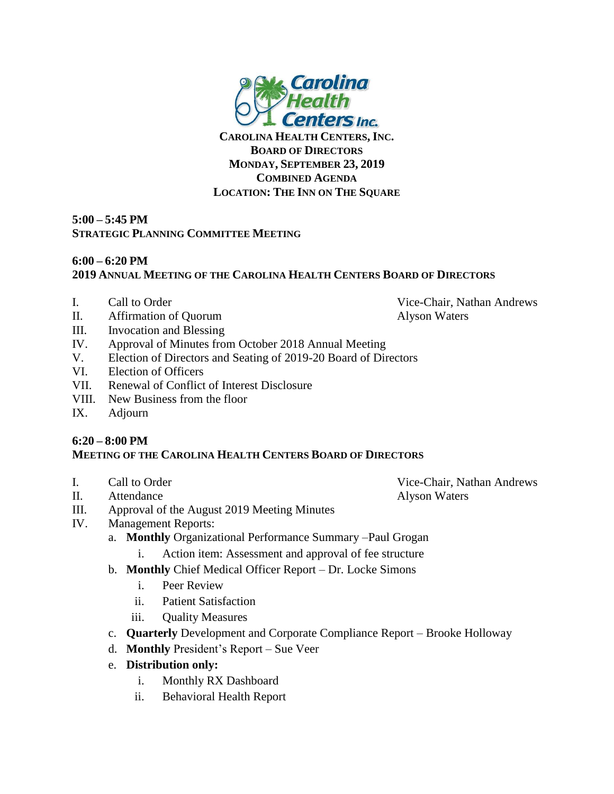

**CAROLINA HEALTH CENTERS, INC. BOARD OF DIRECTORS MONDAY, SEPTEMBER 23, 2019 COMBINED AGENDA LOCATION: THE INN ON THE SQUARE**

## **5:00 – 5:45 PM STRATEGIC PLANNING COMMITTEE MEETING**

## **6:00 – 6:20 PM 2019 ANNUAL MEETING OF THE CAROLINA HEALTH CENTERS BOARD OF DIRECTORS**

- I. Call to Order Vice-Chair, Nathan Andrews
- II. Affirmation of Quorum Alyson Waters
- III. Invocation and Blessing
- IV. Approval of Minutes from October 2018 Annual Meeting
- V. Election of Directors and Seating of 2019-20 Board of Directors
- VI. Election of Officers
- VII. Renewal of Conflict of Interest Disclosure
- VIII. New Business from the floor
- IX. Adjourn

## **6:20 – 8:00 PM MEETING OF THE CAROLINA HEALTH CENTERS BOARD OF DIRECTORS**

- 
- II. Attendance Alyson Waters
- III. Approval of the August 2019 Meeting Minutes
- IV. Management Reports:
	- a. **Monthly** Organizational Performance Summary –Paul Grogan
		- i. Action item: Assessment and approval of fee structure
	- b. **Monthly** Chief Medical Officer Report Dr. Locke Simons
		- i. Peer Review
		- ii. Patient Satisfaction
		- iii. Quality Measures
	- c. **Quarterly** Development and Corporate Compliance Report Brooke Holloway
	- d. **Monthly** President's Report Sue Veer
	- e. **Distribution only:**
		- i. Monthly RX Dashboard
		- ii. Behavioral Health Report

I. Call to Order Vice-Chair, Nathan Andrews